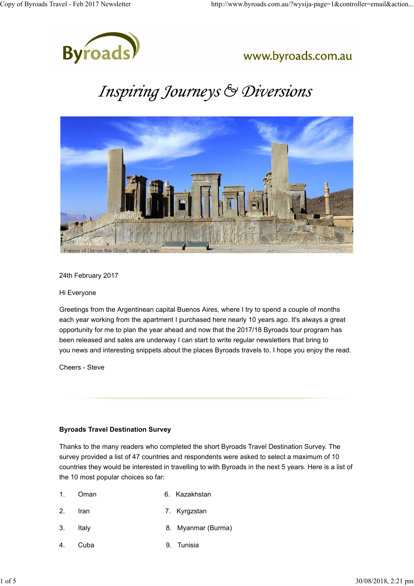

### www.byroads.com.au

# Inspiring Journeys & Diversions



24th February 2017

Hi Everyone

Greetings from the Argentinean capital Buenos Aires, where I try to spend a couple of months each year working from the apartment I purchased here nearly 10 years ago. It's always a great opportunity for me to plan the year ahead and now that the 2017/18 Byroads tour program has been released and sales are underway I can start to write regular newsletters that bring to you news and interesting snippets about the places Byroads travels to. I hope you enjoy the read.

Cheers - Steve

#### **Byroads Travel Destination Survey**

Thanks to the many readers who completed the short Byroads Travel Destination Survey. The survey provided a list of 47 countries and respondents were asked to select a maximum of 10 countries they would be interested in travelling to with Byroads in the next 5 years. Here is a list of the 10 most popular choices so far:

- 1. Oman 6. Kazakhstan
- 2. Iran 7. Kyrgzstan
- 3. Italy 8. Myanmar (Burma)
- 4. Cuba 9. Tunisia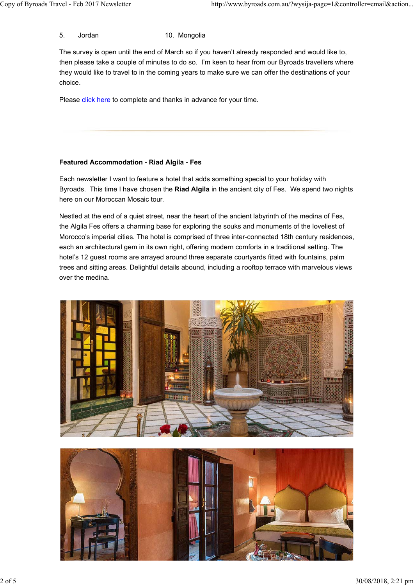5. Jordan 10. Mongolia

The survey is open until the end of March so if you haven't already responded and would like to, then please take a couple of minutes to do so. I'm keen to hear from our Byroads travellers where they would like to travel to in the coming years to make sure we can offer the destinations of your choice.

Please click here to complete and thanks in advance for your time.

#### **Featured Accommodation - Riad Algila - Fes**

Each newsletter I want to feature a hotel that adds something special to your holiday with Byroads. This time I have chosen the **Riad Algila** in the ancient city of Fes. We spend two nights here on our Moroccan Mosaic tour.

Nestled at the end of a quiet street, near the heart of the ancient labyrinth of the medina of Fes, the Algila Fes offers a charming base for exploring the souks and monuments of the loveliest of Morocco's imperial cities. The hotel is comprised of three inter-connected 18th century residences, each an architectural gem in its own right, offering modern comforts in a traditional setting. The hotel's 12 guest rooms are arrayed around three separate courtyards fitted with fountains, palm trees and sitting areas. Delightful details abound, including a rooftop terrace with marvelous views over the medina.



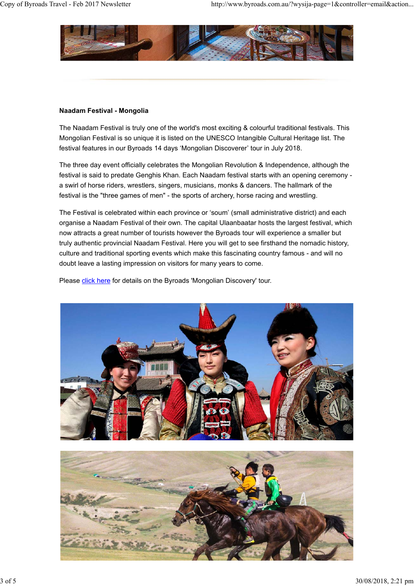

#### **Naadam Festival - Mongolia**

The Naadam Festival is truly one of the world's most exciting & colourful traditional festivals. This Mongolian Festival is so unique it is listed on the UNESCO Intangible Cultural Heritage list. The festival features in our Byroads 14 days 'Mongolian Discoverer' tour in July 2018.

The three day event officially celebrates the Mongolian Revolution & Independence, although the festival is said to predate Genghis Khan. Each Naadam festival starts with an opening ceremony a swirl of horse riders, wrestlers, singers, musicians, monks & dancers. The hallmark of the festival is the "three games of men" - the sports of archery, horse racing and wrestling.

The Festival is celebrated within each province or 'soum' (small administrative district) and each organise a Naadam Festival of their own. The capital Ulaanbaatar hosts the largest festival, which now attracts a great number of tourists however the Byroads tour will experience a smaller but truly authentic provincial Naadam Festival. Here you will get to see firsthand the nomadic history, culture and traditional sporting events which make this fascinating country famous - and will no doubt leave a lasting impression on visitors for many years to come.

Please click here for details on the Byroads 'Mongolian Discovery' tour.



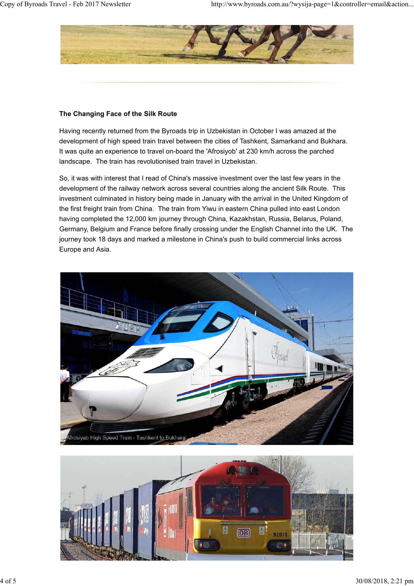

#### **The Changing Face of the Silk Route**

Having recently returned from the Byroads trip in Uzbekistan in October I was amazed at the development of high speed train travel between the cities of Tashkent, Samarkand and Bukhara. It was quite an experience to travel on-board the 'Afrosiyob' at 230 km/h across the parched landscape. The train has revolutionised train travel in Uzbekistan.

So, it was with interest that I read of China's massive investment over the last few years in the development of the railway network across several countries along the ancient Silk Route. This investment culminated in history being made in January with the arrival in the United Kingdom of the first freight train from China. The train from Yiwu in eastern China pulled into east London having completed the 12,000 km journey through China, Kazakhstan, Russia, Belarus, Poland, Germany, Belgium and France before finally crossing under the English Channel into the UK. The journey took 18 days and marked a milestone in China's push to build commercial links across Europe and Asia.